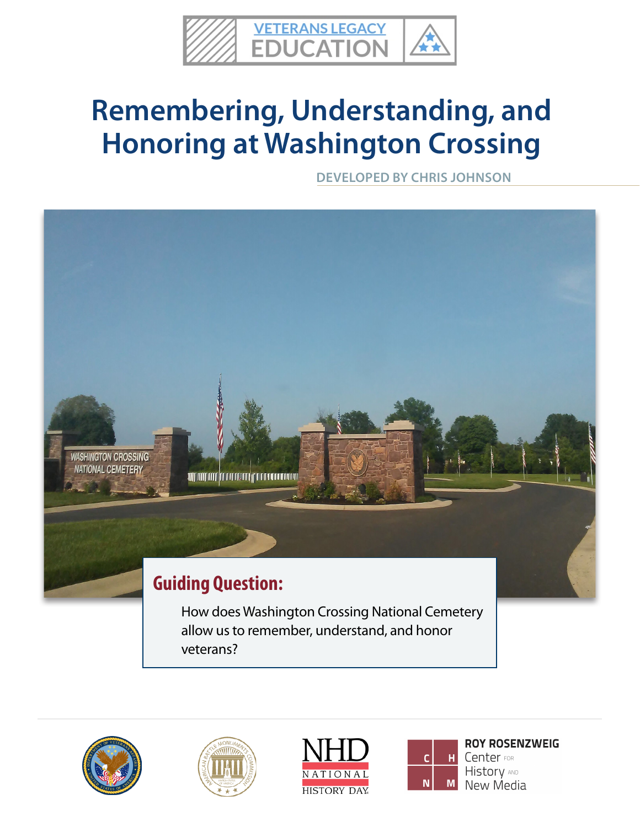

# **Remembering, Understanding, and Honoring at Washington Crossing**

**DEVELOPED BY CHRIS JOHNSON**











**ROY ROSENZWEIG** Center FOR **History AND** New Media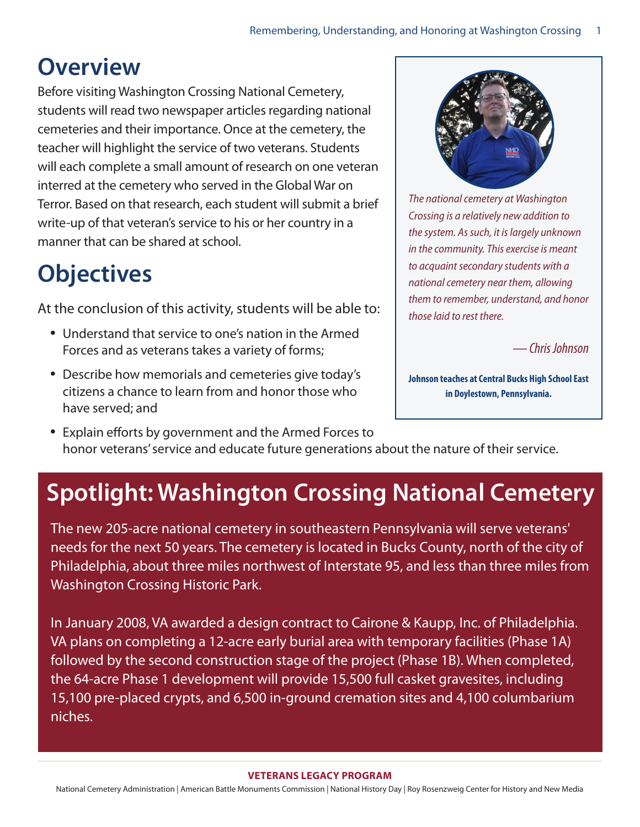### **Overview**

Before visiting Washington Crossing National Cemetery, students will read two newspaper articles regarding national cemeteries and their importance. Once at the cemetery, the teacher will highlight the service of two veterans. Students will each complete a small amount of research on one veteran interred at the cemetery who served in the Global War on Terror. Based on that research, each student will submit a brief write-up of that veteran's service to his or her country in a manner that can be shared at school.

# **Objectives**

At the conclusion of this activity, students will be able to:

- Understand that service to one's nation in the Armed Forces and as veterans takes a variety of forms;
- Describe how memorials and cemeteries give today's citizens a chance to learn from and honor those who have served; and



*The national cemetery at Washington Crossing is a relatively new addition to the system. As such, it is largely unknown in the community. This exercise is meant to acquaint secondary students with a national cemetery near them, allowing them to remember, understand, and honor those laid to rest there.* 

*— Chris Johnson*

**Johnson teaches at Central Bucks High School East in Doylestown, Pennsylvania.**

• Explain efforts by government and the Armed Forces to honor veterans' service and educate future generations about the nature of their service.

## **Spotlight: Washington Crossing National Cemetery**

The new 205-acre national cemetery in southeastern Pennsylvania will serve veterans' needs for the next 50 years. The cemetery is located in Bucks County, north of the city of Philadelphia, about three miles northwest of Interstate 95, and less than three miles from Washington Crossing Historic Park.

In January 2008, VA awarded a design contract to Cairone & Kaupp, Inc. of Philadelphia. VA plans on completing a 12-acre early burial area with temporary facilities (Phase 1A) followed by the second construction stage of the project (Phase 1B). When completed, the 64-acre Phase 1 development will provide 15,500 full casket gravesites, including 15,100 pre-placed crypts, and 6,500 in-ground cremation sites and 4,100 columbarium niches.

#### **VETERANS LE[G](http://abmceducation.org)ACY PROGRAM**

National Cemetery Administration | American Battle Monuments Commission | National History Day | Roy Rosenzweig Center for History and New Media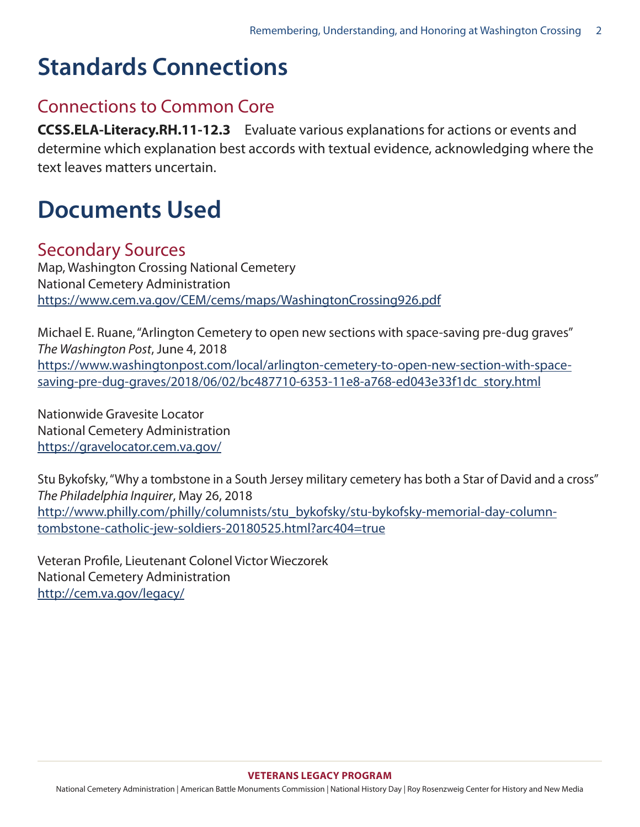### **Standards Connections**

#### Connections to Common Core

**CCSS.ELA-Literacy.RH.11-12.3** Evaluate various explanations for actions or events and determine which explanation best accords with textual evidence, acknowledging where the text leaves matters uncertain.

#### **Documents Used**

#### Secondary Sources

Map, Washington Crossing National Cemetery National Cemetery Administration <https://www.cem.va.gov/CEM/cems/maps/WashingtonCrossing926.pdf>

Michael E. Ruane, "Arlington Cemetery to open new sections with space-saving pre-dug graves" *The Washington Post*, June 4, 2018 [https://www.washingtonpost.com/local/arlington-cemetery-to-open-new-section-with-space](https://www.washingtonpost.com/local/arlington-cemetery-to-open-new-section-with-space-saving-pre-dug-graves/2018/06/02/bc487710-6353-11e8-a768-ed043e33f1dc_story.html)[saving-pre-dug-graves/2018/06/02/bc487710-6353-11e8-a768-ed043e33f1dc\\_story.html](https://www.washingtonpost.com/local/arlington-cemetery-to-open-new-section-with-space-saving-pre-dug-graves/2018/06/02/bc487710-6353-11e8-a768-ed043e33f1dc_story.html)

Nationwide Gravesite Locator National Cemetery Administration <https://gravelocator.cem.va.gov/>

Stu Bykofsky, "Why a tombstone in a South Jersey military cemetery has both a Star of David and a cross" *The Philadelphia Inquirer*, May 26, 2018 [http://www.philly.com/philly/columnists/stu\\_bykofsky/stu-bykofsky-memorial-day-column](http://www.philly.com/philly/columnists/stu_bykofsky/stu-bykofsky-memorial-day-column-tombstone-catholic-jew-soldiers-20180525.html?arc404=true)[tombstone-catholic-jew-soldiers-20180525.html?arc404=true](http://www.philly.com/philly/columnists/stu_bykofsky/stu-bykofsky-memorial-day-column-tombstone-catholic-jew-soldiers-20180525.html?arc404=true)

Veteran Profile, Lieutenant Colonel Victor Wieczorek National Cemetery Administration <http://cem.va.gov/legacy/>

National Cemetery Administration | American Battle Monuments Commission | National History Day | Roy Rosenzweig Center for History and New Media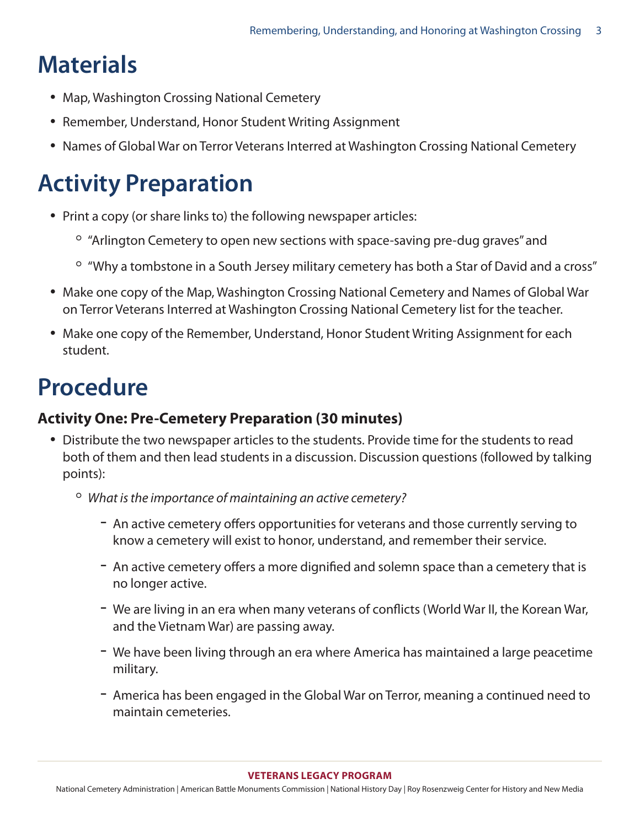# **Materials**

- Map, Washington Crossing National Cemetery
- Remember, Understand, Honor Student Writing Assignment
- Names of Global War on Terror Veterans Interred at Washington Crossing National Cemetery

## **Activity Preparation**

- Print a copy (or share links to) the following newspaper articles:
	- "Arlington Cemetery to open new sections with space-saving pre-dug graves" and
	- "Why a tombstone in a South Jersey military cemetery has both a Star of David and a cross"
- Make one copy of the Map, Washington Crossing National Cemetery and Names of Global War on Terror Veterans Interred at Washington Crossing National Cemetery list for the teacher.
- Make one copy of the Remember, Understand, Honor Student Writing Assignment for each student.

## **Procedure**

#### **Activity One: Pre-Cemetery Preparation (30 minutes)**

- Distribute the two newspaper articles to the students. Provide time for the students to read both of them and then lead students in a discussion. Discussion questions (followed by talking points):
	- *What is the importance of maintaining an active cemetery?* 
		- An active cemetery offers opportunities for veterans and those currently serving to know a cemetery will exist to honor, understand, and remember their service.
		- An active cemetery offers a more dignified and solemn space than a cemetery that is no longer active.
		- We are living in an era when many veterans of conflicts (World War II, the Korean War, and the Vietnam War) are passing away.
		- We have been living through an era where America has maintained a large peacetime military.
		- America has been engaged in the Global War on Terror, meaning a continued need to maintain cemeteries.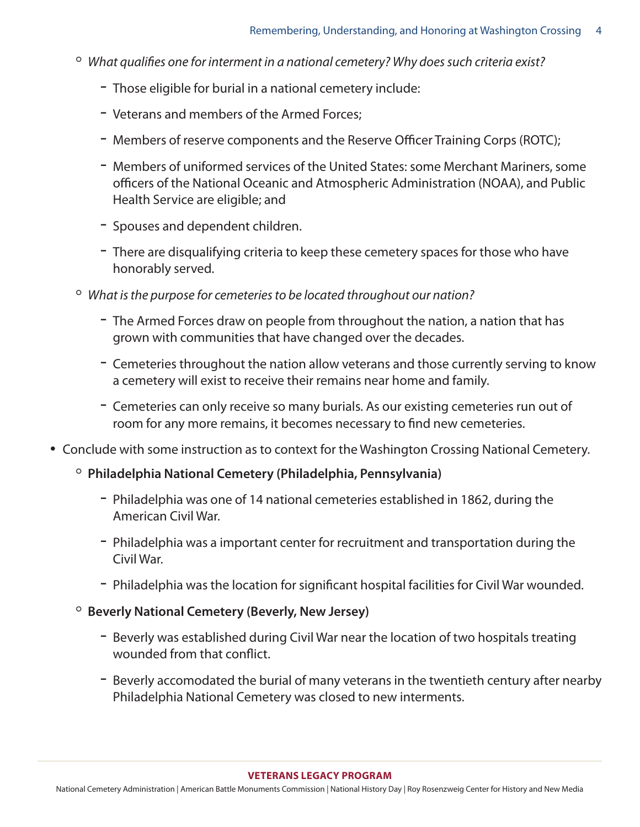- *What qualifies one for interment in a national cemetery? Why does such criteria exist?*
	- Those eligible for burial in a national cemetery include:
	- Veterans and members of the Armed Forces;
	- Members of reserve components and the Reserve Officer Training Corps (ROTC);
	- Members of uniformed services of the United States: some Merchant Mariners, some officers of the National Oceanic and Atmospheric Administration (NOAA), and Public Health Service are eligible; and
	- Spouses and dependent children.
	- There are disqualifying criteria to keep these cemetery spaces for those who have honorably served.
- *What is the purpose for cemeteries to be located throughout our nation?* 
	- The Armed Forces draw on people from throughout the nation, a nation that has grown with communities that have changed over the decades.
	- Cemeteries throughout the nation allow veterans and those currently serving to know a cemetery will exist to receive their remains near home and family.
	- Cemeteries can only receive so many burials. As our existing cemeteries run out of room for any more remains, it becomes necessary to find new cemeteries.
- Conclude with some instruction as to context for the Washington Crossing National Cemetery.
	- **Philadelphia National Cemetery (Philadelphia, Pennsylvania)**
		- Philadelphia was one of 14 national cemeteries established in 1862, during the American Civil War.
		- Philadelphia was a important center for recruitment and transportation during the Civil War.
		- Philadelphia was the location for significant hospital facilities for Civil War wounded.
	- **Beverly National Cemetery (Beverly, New Jersey)**
		- Beverly was established during Civil War near the location of two hospitals treating wounded from that conflict.
		- Beverly accomodated the burial of many veterans in the twentieth century after nearby Philadelphia National Cemetery was closed to new interments.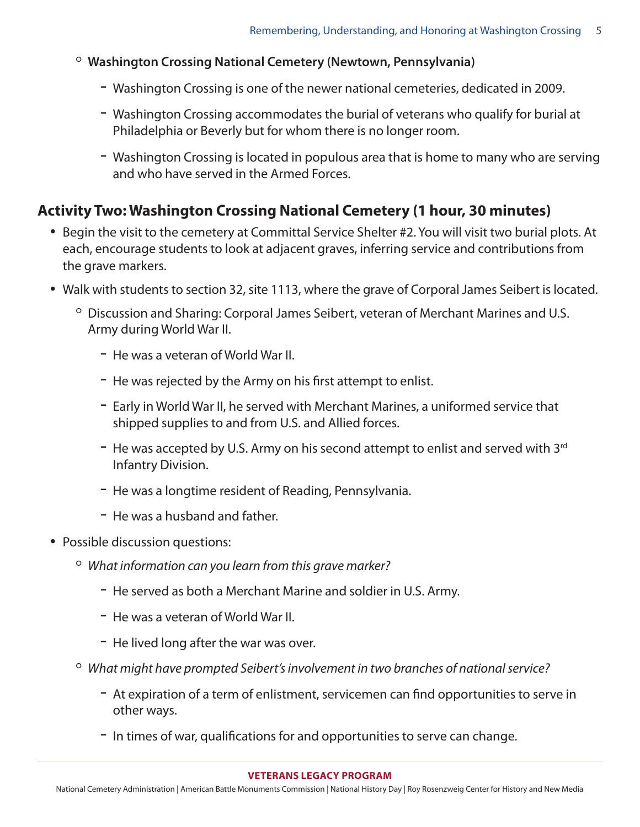- **Washington Crossing National Cemetery (Newtown, Pennsylvania)**
	- Washington Crossing is one of the newer national cemeteries, dedicated in 2009.
	- Washington Crossing accommodates the burial of veterans who qualify for burial at Philadelphia or Beverly but for whom there is no longer room.
	- Washington Crossing is located in populous area that is home to many who are serving and who have served in the Armed Forces.

#### **Activity Two: Washington Crossing National Cemetery (1 hour, 30 minutes)**

- Begin the visit to the cemetery at Committal Service Shelter #2. You will visit two burial plots. At each, encourage students to look at adjacent graves, inferring service and contributions from the grave markers.
- Walk with students to section 32, site 1113, where the grave of Corporal James Seibert is located.
	- Discussion and Sharing: Corporal James Seibert, veteran of Merchant Marines and U.S. Army during World War II.
		- He was a veteran of World War II.
		- He was rejected by the Army on his first attempt to enlist.
		- Early in World War II, he served with Merchant Marines, a uniformed service that shipped supplies to and from U.S. and Allied forces.
		- $-$  He was accepted by U.S. Army on his second attempt to enlist and served with 3<sup>rd</sup> Infantry Division.
		- He was a longtime resident of Reading, Pennsylvania.
		- He was a husband and father.
- Possible discussion questions:
	- *What information can you learn from this grave marker?* 
		- He served as both a Merchant Marine and soldier in U.S. Army.
		- He was a veteran of World War II.
		- He lived long after the war was over.
	- *What might have prompted Seibert's involvement in two branches of national service?*
		- At expiration of a term of enlistment, servicemen can find opportunities to serve in other ways.
		- In times of war, qualifications for and opportunities to serve can change.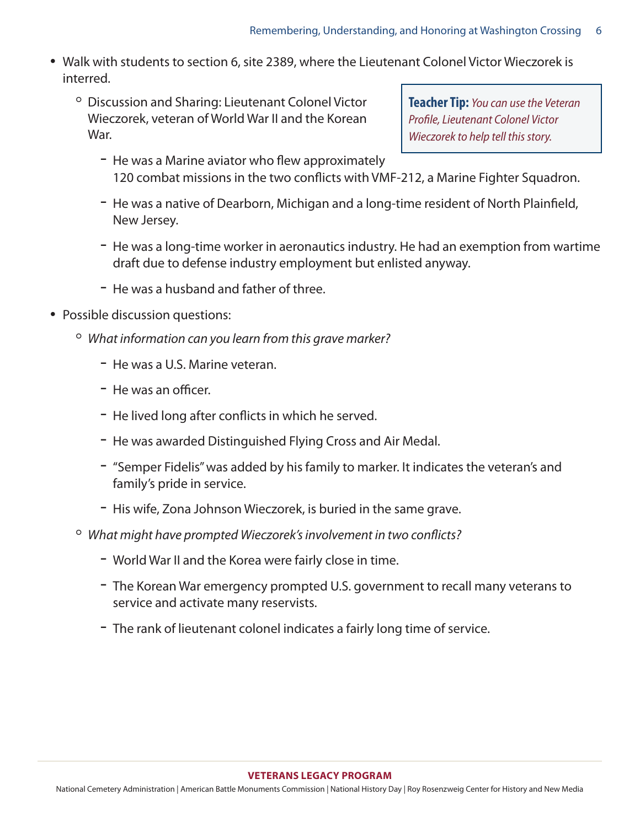- Walk with students to section 6, site 2389, where the Lieutenant Colonel Victor Wieczorek is interred.
	- Discussion and Sharing: Lieutenant Colonel Victor Wieczorek, veteran of World War II and the Korean War.

**Teacher Tip:** *You can use the Veteran Profile, Lieutenant Colonel Victor Wieczorek to help tell this story.*

- He was a Marine aviator who flew approximately 120 combat missions in the two conflicts with VMF-212, a Marine Fighter Squadron.
- He was a native of Dearborn, Michigan and a long-time resident of North Plainfield, New Jersey.
- He was a long-time worker in aeronautics industry. He had an exemption from wartime draft due to defense industry employment but enlisted anyway.
- He was a husband and father of three.
- Possible discussion questions:
	- *What information can you learn from this grave marker?*
		- He was a U.S. Marine veteran.
		- He was an officer.
		- He lived long after conflicts in which he served.
		- He was awarded Distinguished Flying Cross and Air Medal.
		- "Semper Fidelis" was added by his family to marker. It indicates the veteran's and family's pride in service.
		- His wife, Zona Johnson Wieczorek, is buried in the same grave.
	- *What might have prompted Wieczorek's involvement in two conflicts?*
		- World War II and the Korea were fairly close in time.
		- The Korean War emergency prompted U.S. government to recall many veterans to service and activate many reservists.
		- The rank of lieutenant colonel indicates a fairly long time of service.

#### **VETERANS LE[G](http://abmceducation.org)ACY PROGRAM**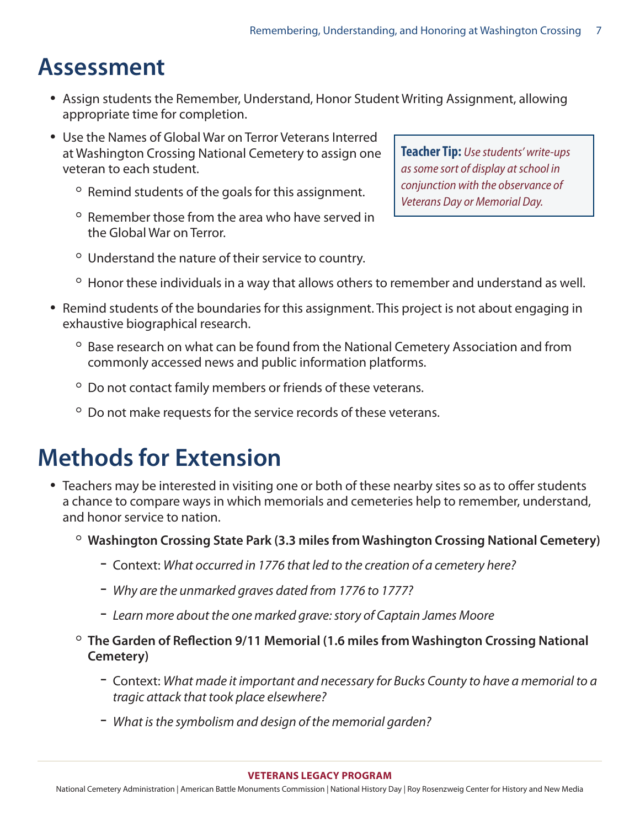### **Assessment**

- Assign students the Remember, Understand, Honor Student Writing Assignment, allowing appropriate time for completion.
- Use the Names of Global War on Terror Veterans Interred at Washington Crossing National Cemetery to assign one veteran to each student.
	- Remind students of the goals for this assignment.
	- Remember those from the area who have served in the Global War on Terror.
- **Teacher Tip:** *Use students' write-ups as some sort of display at school in conjunction with the observance of Veterans Day or Memorial Day.*
- Understand the nature of their service to country.
- Honor these individuals in a way that allows others to remember and understand as well.
- Remind students of the boundaries for this assignment. This project is not about engaging in exhaustive biographical research.
	- Base research on what can be found from the National Cemetery Association and from commonly accessed news and public information platforms.
	- Do not contact family members or friends of these veterans.
	- Do not make requests for the service records of these veterans.

### **Methods for Extension**

- Teachers may be interested in visiting one or both of these nearby sites so as to offer students a chance to compare ways in which memorials and cemeteries help to remember, understand, and honor service to nation.
	- **Washington Crossing State Park (3.3 miles from Washington Crossing National Cemetery)**
		- Context: *What occurred in 1776 that led to the creation of a cemetery here?*
		- *Why are the unmarked graves dated from 1776 to 1777?*
		- *Learn more about the one marked grave: story of Captain James Moore*
	- **The Garden of Reflection 9/11 Memorial (1.6 miles from Washington Crossing National Cemetery)**
		- Context: *What made it important and necessary for Bucks County to have a memorial to a tragic attack that took place elsewhere?*
		- *What is the symbolism and design of the memorial garden?*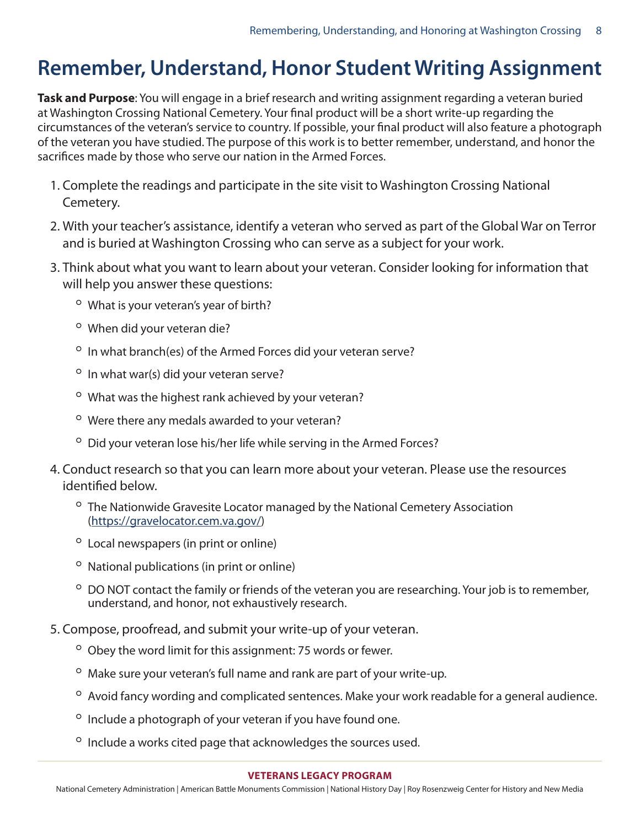#### **Remember, Understand, Honor Student Writing Assignment**

**Task and Purpose**: You will engage in a brief research and writing assignment regarding a veteran buried at Washington Crossing National Cemetery. Your final product will be a short write-up regarding the circumstances of the veteran's service to country. If possible, your final product will also feature a photograph of the veteran you have studied. The purpose of this work is to better remember, understand, and honor the sacrifices made by those who serve our nation in the Armed Forces.

- 1. Complete the readings and participate in the site visit to Washington Crossing National Cemetery.
- 2. With your teacher's assistance, identify a veteran who served as part of the Global War on Terror and is buried at Washington Crossing who can serve as a subject for your work.
- 3. Think about what you want to learn about your veteran. Consider looking for information that will help you answer these questions:
	- What is your veteran's year of birth?
	- When did your veteran die?
	- In what branch(es) of the Armed Forces did your veteran serve?
	- In what war(s) did your veteran serve?
	- What was the highest rank achieved by your veteran?
	- Were there any medals awarded to your veteran?
	- Did your veteran lose his/her life while serving in the Armed Forces?
- 4. Conduct research so that you can learn more about your veteran. Please use the resources identified below.
	- The Nationwide Gravesite Locator managed by the National Cemetery Association [\(https://gravelocator.cem.va.gov/\)](https://gravelocator.cem.va.gov/)
	- Local newspapers (in print or online)
	- National publications (in print or online)
	- DO NOT contact the family or friends of the veteran you are researching. Your job is to remember, understand, and honor, not exhaustively research.
- 5. Compose, proofread, and submit your write-up of your veteran.
	- Obey the word limit for this assignment: 75 words or fewer.
	- Make sure your veteran's full name and rank are part of your write-up.
	- Avoid fancy wording and complicated sentences. Make your work readable for a general audience.
	- Include a photograph of your veteran if you have found one.
	- Include a works cited page that acknowledges the sources used.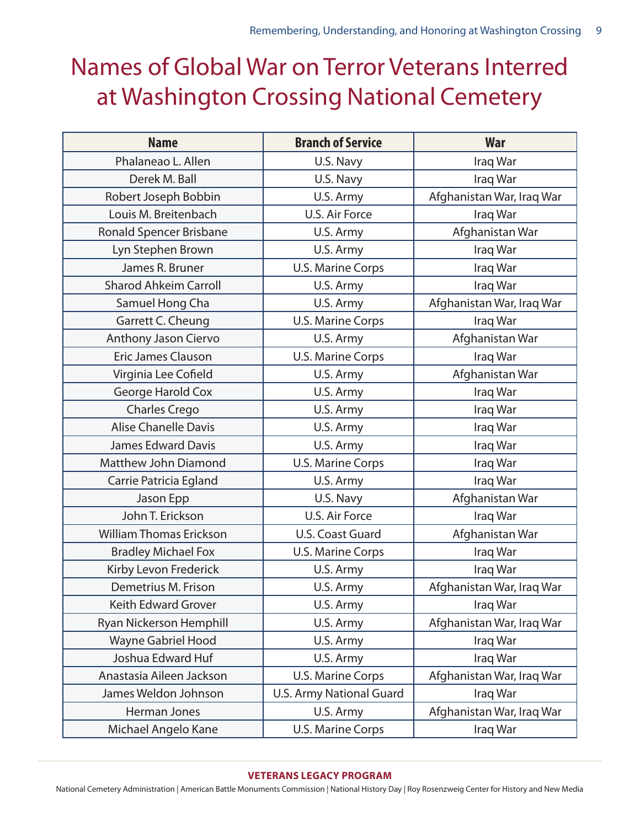## Names of Global War on Terror Veterans Interred at Washington Crossing National Cemetery

| <b>Name</b>                    | <b>Branch of Service</b> | <b>War</b>                |
|--------------------------------|--------------------------|---------------------------|
| Phalaneao L. Allen             | U.S. Navy                | Iraq War                  |
| Derek M. Ball                  | U.S. Navy                | Iraq War                  |
| Robert Joseph Bobbin           | U.S. Army                | Afghanistan War, Iraq War |
| Louis M. Breitenbach           | U.S. Air Force           | Iraq War                  |
| Ronald Spencer Brisbane        | U.S. Army                | Afghanistan War           |
| Lyn Stephen Brown              | U.S. Army                | Iraq War                  |
| James R. Bruner                | <b>U.S. Marine Corps</b> | Iraq War                  |
| <b>Sharod Ahkeim Carroll</b>   | U.S. Army                | Iraq War                  |
| Samuel Hong Cha                | U.S. Army                | Afghanistan War, Iraq War |
| Garrett C. Cheung              | <b>U.S. Marine Corps</b> | Iraq War                  |
| Anthony Jason Ciervo           | U.S. Army                | Afghanistan War           |
| <b>Eric James Clauson</b>      | <b>U.S. Marine Corps</b> | Iraq War                  |
| Virginia Lee Cofield           | U.S. Army                | Afghanistan War           |
| <b>George Harold Cox</b>       | U.S. Army                | Iraq War                  |
| <b>Charles Crego</b>           | U.S. Army                | Iraq War                  |
| <b>Alise Chanelle Davis</b>    | U.S. Army                | Iraq War                  |
| <b>James Edward Davis</b>      | U.S. Army                | Iraq War                  |
| Matthew John Diamond           | <b>U.S. Marine Corps</b> | Iraq War                  |
| Carrie Patricia Egland         | U.S. Army                | Iraq War                  |
| Jason Epp                      | U.S. Navy                | Afghanistan War           |
| John T. Erickson               | U.S. Air Force           | Iraq War                  |
| <b>William Thomas Erickson</b> | U.S. Coast Guard         | Afghanistan War           |
| <b>Bradley Michael Fox</b>     | <b>U.S. Marine Corps</b> | Iraq War                  |
| Kirby Levon Frederick          | U.S. Army                | Iraq War                  |
| Demetrius M. Frison            | U.S. Army                | Afghanistan War, Iraq War |
| <b>Keith Edward Grover</b>     | U.S. Army                | Iraq War                  |
| Ryan Nickerson Hemphill        | U.S. Army                | Afghanistan War, Iraq War |
| <b>Wayne Gabriel Hood</b>      | U.S. Army                | Iraq War                  |
| Joshua Edward Huf              | U.S. Army                | Iraq War                  |
| Anastasia Aileen Jackson       | <b>U.S. Marine Corps</b> | Afghanistan War, Iraq War |
| James Weldon Johnson           | U.S. Army National Guard | Iraq War                  |
| Herman Jones                   | U.S. Army                | Afghanistan War, Iraq War |
| Michael Angelo Kane            | <b>U.S. Marine Corps</b> | Iraq War                  |

#### **VETERANS LE[G](http://abmceducation.org)ACY PROGRAM**